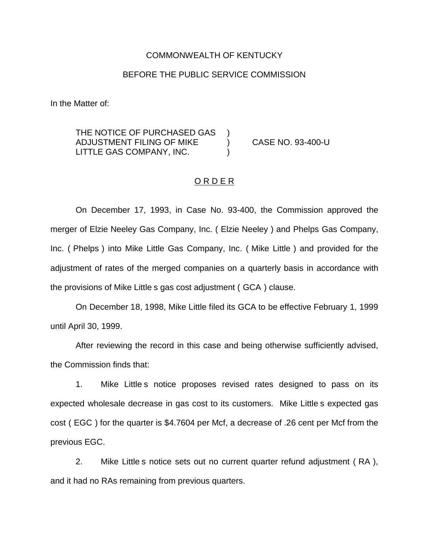#### COMMONWEALTH OF KENTUCKY

## BEFORE THE PUBLIC SERVICE COMMISSION

In the Matter of:

THE NOTICE OF PURCHASED GAS ADJUSTMENT FILING OF MIKE ) CASE NO. 93-400-U LITTLE GAS COMPANY, INC.

#### ORDER

On December 17, 1993, in Case No. 93-400, the Commission approved the merger of Elzie Neeley Gas Company, Inc. ( Elzie Neeley ) and Phelps Gas Company, Inc. ( Phelps ) into Mike Little Gas Company, Inc. ( Mike Little ) and provided for the adjustment of rates of the merged companies on a quarterly basis in accordance with the provisions of Mike Little s gas cost adjustment ( GCA ) clause.

On December 18, 1998, Mike Little filed its GCA to be effective February 1, 1999 until April 30, 1999.

After reviewing the record in this case and being otherwise sufficiently advised, the Commission finds that:

1. Mike Little s notice proposes revised rates designed to pass on its expected wholesale decrease in gas cost to its customers. Mike Little s expected gas cost ( EGC ) for the quarter is \$4.7604 per Mcf, a decrease of .26 cent per Mcf from the previous EGC.

2. Mike Little s notice sets out no current quarter refund adjustment ( RA ), and it had no RAs remaining from previous quarters.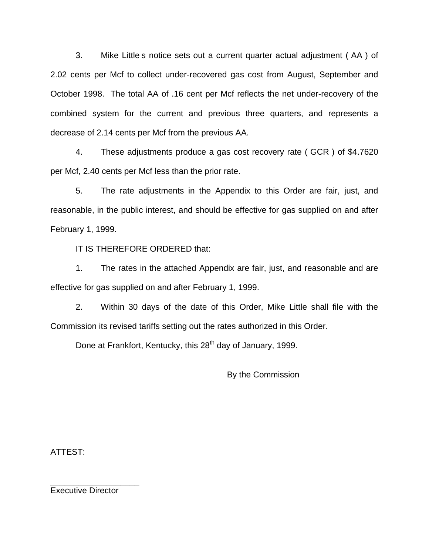3. Mike Little s notice sets out a current quarter actual adjustment ( AA ) of 2.02 cents per Mcf to collect under-recovered gas cost from August, September and October 1998. The total AA of .16 cent per Mcf reflects the net under-recovery of the combined system for the current and previous three quarters, and represents a decrease of 2.14 cents per Mcf from the previous AA.

4. These adjustments produce a gas cost recovery rate ( GCR ) of \$4.7620 per Mcf, 2.40 cents per Mcf less than the prior rate.

5. The rate adjustments in the Appendix to this Order are fair, just, and reasonable, in the public interest, and should be effective for gas supplied on and after February 1, 1999.

IT IS THEREFORE ORDERED that:

1. The rates in the attached Appendix are fair, just, and reasonable and are effective for gas supplied on and after February 1, 1999.

2. Within 30 days of the date of this Order, Mike Little shall file with the Commission its revised tariffs setting out the rates authorized in this Order.

Done at Frankfort, Kentucky, this 28<sup>th</sup> day of January, 1999.

By the Commission

ATTEST:

Executive Director

\_\_\_\_\_\_\_\_\_\_\_\_\_\_\_\_\_\_\_